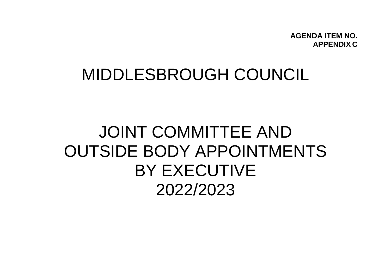**AGENDA ITEM NO. APPENDIX C**

## MIDDLESBROUGH COUNCIL

# JOINT COMMITTEE AND OUTSIDE BODY APPOINTMENTS BY EXECUTIVE 2022/2023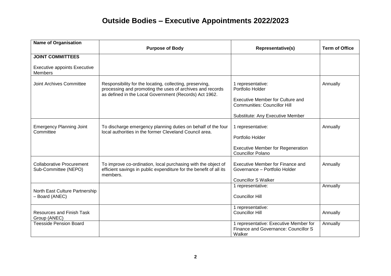| <b>Name of Organisation</b>                              |                                                                                                                                                                                 |                                                                                          |                       |
|----------------------------------------------------------|---------------------------------------------------------------------------------------------------------------------------------------------------------------------------------|------------------------------------------------------------------------------------------|-----------------------|
|                                                          | <b>Purpose of Body</b>                                                                                                                                                          | <b>Representative(s)</b>                                                                 | <b>Term of Office</b> |
| <b>JOINT COMMITTEES</b>                                  |                                                                                                                                                                                 |                                                                                          |                       |
| <b>Executive appoints Executive</b><br><b>Members</b>    |                                                                                                                                                                                 |                                                                                          |                       |
| Joint Archives Committee                                 | Responsibility for the locating, collecting, preserving,<br>processing and promoting the uses of archives and records<br>as defined in the Local Government (Records) Act 1962. | 1 representative:<br>Portfolio Holder                                                    | Annually              |
|                                                          |                                                                                                                                                                                 | Executive Member for Culture and<br><b>Communities: Councillor Hill</b>                  |                       |
|                                                          |                                                                                                                                                                                 | Substitute: Any Executive Member                                                         |                       |
| <b>Emergency Planning Joint</b><br>Committee             | To discharge emergency planning duties on behalf of the four<br>local authorities in the former Cleveland Council area.                                                         | 1 representative:                                                                        | Annually              |
|                                                          |                                                                                                                                                                                 | Portfolio Holder                                                                         |                       |
|                                                          |                                                                                                                                                                                 | <b>Executive Member for Regeneration</b><br><b>Councillor Polano</b>                     |                       |
| <b>Collaborative Procurement</b><br>Sub-Committee (NEPO) | To improve co-ordination, local purchasing with the object of<br>efficient savings in public expenditure for the benefit of all its<br>members.                                 | Executive Member for Finance and<br>Governance - Portfolio Holder                        | Annually              |
|                                                          |                                                                                                                                                                                 | <b>Councillor S Walker</b><br>1 representative:                                          | Annually              |
| North East Culture Partnership<br>- Board (ANEC)         |                                                                                                                                                                                 | <b>Councillor Hill</b>                                                                   |                       |
| <b>Resources and Finish Task</b><br>Group (ANEC)         |                                                                                                                                                                                 | 1 representative:<br><b>Councillor Hill</b>                                              | Annually              |
| <b>Teesside Pension Board</b>                            |                                                                                                                                                                                 | 1 representative: Executive Member for<br>Finance and Governance: Councillor S<br>Walker | Annually              |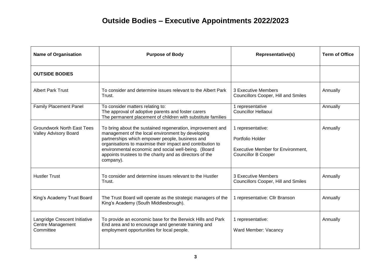| <b>Name of Organisation</b>                                       | <b>Purpose of Body</b>                                                                                                                                                                                                                                                                                                                                            | Representative(s)                                                                                               | <b>Term of Office</b> |
|-------------------------------------------------------------------|-------------------------------------------------------------------------------------------------------------------------------------------------------------------------------------------------------------------------------------------------------------------------------------------------------------------------------------------------------------------|-----------------------------------------------------------------------------------------------------------------|-----------------------|
| <b>OUTSIDE BODIES</b>                                             |                                                                                                                                                                                                                                                                                                                                                                   |                                                                                                                 |                       |
| <b>Albert Park Trust</b>                                          | To consider and determine issues relevant to the Albert Park<br>Trust.                                                                                                                                                                                                                                                                                            | 3 Executive Members<br><b>Councillors Cooper, Hill and Smiles</b>                                               | Annually              |
| <b>Family Placement Panel</b>                                     | To consider matters relating to:<br>The approval of adoptive parents and foster carers<br>The permanent placement of children with substitute families                                                                                                                                                                                                            | 1 representative<br><b>Councillor Hellaoui</b>                                                                  | Annually              |
| <b>Groundwork North East Tees</b><br><b>Valley Advisory Board</b> | To bring about the sustained regeneration, improvement and<br>management of the local environment by developing<br>partnerships which empower people, business and<br>organisations to maximise their impact and contribution to<br>environmental economic and social well-being. (Board<br>appoints trustees to the charity and as directors of the<br>company). | 1 representative:<br>Portfolio Holder<br><b>Executive Member for Environment,</b><br><b>Councillor B Cooper</b> | Annually              |
| <b>Hustler Trust</b>                                              | To consider and determine issues relevant to the Hustler<br>Trust.                                                                                                                                                                                                                                                                                                | 3 Executive Members<br><b>Councillors Cooper, Hill and Smiles</b>                                               | Annually              |
| King's Academy Trust Board                                        | The Trust Board will operate as the strategic managers of the<br>King's Academy (South Middlesbrough).                                                                                                                                                                                                                                                            | 1 representative: Cllr Branson                                                                                  | Annually              |
| Langridge Crescent Initiative<br>Centre Management<br>Committee   | To provide an economic base for the Berwick Hills and Park<br>End area and to encourage and generate training and<br>employment opportunities for local people.                                                                                                                                                                                                   | 1 representative:<br>Ward Member: Vacancy                                                                       | Annually              |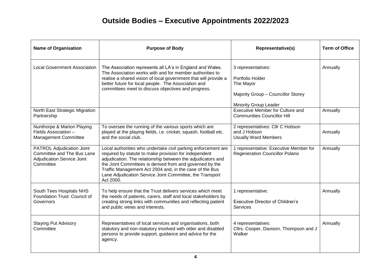| <b>Name of Organisation</b>                                                                                      | <b>Purpose of Body</b>                                                                                                                                                                                                                                                                                                                                                                | Representative(s)                                                                                                         | <b>Term of Office</b> |
|------------------------------------------------------------------------------------------------------------------|---------------------------------------------------------------------------------------------------------------------------------------------------------------------------------------------------------------------------------------------------------------------------------------------------------------------------------------------------------------------------------------|---------------------------------------------------------------------------------------------------------------------------|-----------------------|
| <b>Local Government Association</b>                                                                              | The Association represents all LA's in England and Wales.<br>The Association works with and for member authorities to<br>realise a shared vision of local government that will provide a<br>better future for local people. The Association and<br>committees meet to discuss objectives and progress.                                                                                | 3 representatives:<br>Portfolio Holder<br>The Mayor<br>Majority Group - Councillor Storey<br><b>Minority Group Leader</b> | Annually              |
| North East Strategic Migration<br>Partnership                                                                    |                                                                                                                                                                                                                                                                                                                                                                                       | <b>Executive Member for Culture and</b><br><b>Communities Councillor Hill</b>                                             | Annually              |
| Nunthorpe & Marton Playing<br>Fields Association -<br>Management Committee                                       | To oversee the running of the various sports which are<br>played at the playing fields, i.e. cricket, squash, football etc.<br>and the social club.                                                                                                                                                                                                                                   | 2 representatives: Cllr C Hobson<br>and J Hobson<br><b>Usually Ward Members</b>                                           | Annually              |
| <b>PATROL Adjudication Joint</b><br>Committee and The Bus Lane<br><b>Adjudication Service Joint</b><br>Committee | Local authorities who undertake civil parking enforcement are<br>required by statute to make provision for independent<br>adjudication. The relationship between the adjudicators and<br>the Joint Committees is derived from and governed by the<br>Traffic Management Act 2004 and, in the case of the Bus<br>Lane Adjudication Service Joint Committee, the Transport<br>Act 2000. | 1 representative: Executive Member for<br>Regeneration Councillor Polano                                                  | Annually              |
| South Tees Hospitals NHS<br>Foundation Trust: Council of<br>Governors                                            | To help ensure that the Trust delivers services which meet<br>the needs of patients, carers, staff and local stakeholders by<br>creating strong links with communities and reflecting patient<br>and public views and interests.                                                                                                                                                      | 1 representative:<br><b>Executive Director of Children's</b><br>Services                                                  | Annually              |
| <b>Staying Put Advisory</b><br>Committee                                                                         | Representatives of local services and organisations, both<br>statutory and non-statutory involved with older and disabled<br>persons to provide support, guidance and advice for the<br>agency.                                                                                                                                                                                       | 4 representatives:<br>Cllrs: Cooper, Davison, Thompson and J<br>Walker                                                    | Annually              |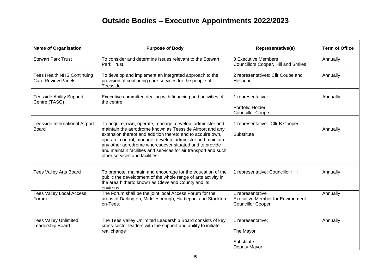| <b>Name of Organisation</b>                                    | <b>Purpose of Body</b>                                                                                                                                                                                                                                                                                                                                                                                            | Representative(s)                                                                       | <b>Term of Office</b> |
|----------------------------------------------------------------|-------------------------------------------------------------------------------------------------------------------------------------------------------------------------------------------------------------------------------------------------------------------------------------------------------------------------------------------------------------------------------------------------------------------|-----------------------------------------------------------------------------------------|-----------------------|
| <b>Stewart Park Trust</b>                                      | To consider and determine issues relevant to the Stewart<br>Park Trust.                                                                                                                                                                                                                                                                                                                                           | 3 Executive Members<br>Councillors Cooper, Hill and Smiles                              | Annually              |
| <b>Tees Health NHS Continuing</b><br><b>Care Review Panels</b> | To develop and implement an integrated approach to the<br>provision of continuing care services for the people of<br>Teesside.                                                                                                                                                                                                                                                                                    | 2 representatives: Cllr Coupe and<br>Hellaoui                                           | Annually              |
| <b>Teesside Ability Support</b><br>Centre (TASC)               | Executive committee dealing with financing and activities of<br>the centre                                                                                                                                                                                                                                                                                                                                        | 1 representative:<br>Portfolio Holder<br><b>Councillor Coupe</b>                        | Annually              |
| <b>Teesside International Airport</b><br><b>Board</b>          | To acquire, own, operate, manage, develop, administer and<br>maintain the aerodrome known as Teesside Airport and any<br>extension thereof and addition thereto and to acquire own,<br>operate, control, manage, develop, administer and maintain<br>any other aerodrome wheresoever situated and to provide<br>and maintain facilities and services for air transport and such<br>other services and facilities. | 1 representative: Cllr B Cooper<br>Substitute                                           | Annually              |
| <b>Tees Valley Arts Board</b>                                  | To promote, maintain and encourage for the education of the<br>public the development of the whole range of arts activity in<br>the area hitherto known as Cleveland County and its<br>environs.                                                                                                                                                                                                                  | 1 representative: Councillor Hill                                                       | Annually              |
| <b>Tees Valley Local Access</b><br>Forum                       | The Forum shall be the joint local Access Forum for the<br>areas of Darlington, Middlesbrough, Hartlepool and Stockton-<br>on-Tees.                                                                                                                                                                                                                                                                               | 1 representative<br><b>Executive Member for Environment</b><br><b>Councillor Cooper</b> | Annually              |
| <b>Tees Valley Unlimited</b><br>Leadership Board               | The Tees Valley Unlimited Leadership Board consists of key<br>cross-sector leaders with the support and ability to initiate<br>real change                                                                                                                                                                                                                                                                        | 1 representative:<br>The Mayor<br>Substitute<br>Deputy Mayor                            | Annually              |